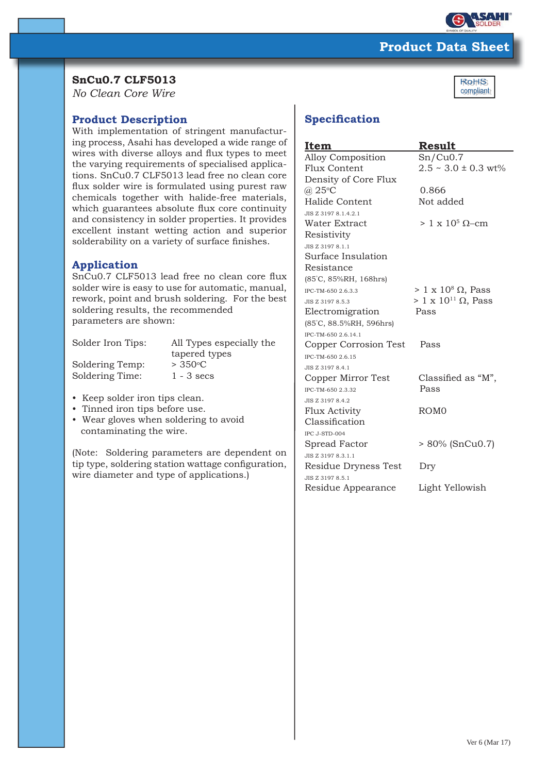

Ro<sub>HS</sub> compliant+

# **Product Data Sheet**

# **SnCu0.7 CLF5013**

*No Clean Core Wire*

## **Product Description**

With implementation of stringent manufacturing process, Asahi has developed a wide range of wires with diverse alloys and flux types to meet the varying requirements of specialised applications. SnCu0.7 CLF5013 lead free no clean core flux solder wire is formulated using purest raw chemicals together with halide-free materials, which guarantees absolute flux core continuity and consistency in solder properties. It provides excellent instant wetting action and superior solderability on a variety of surface finishes.

## **Application**

SnCu0.7 CLF5013 lead free no clean core flux solder wire is easy to use for automatic, manual, rework, point and brush soldering. For the best soldering results, the recommended parameters are shown:

| Solder Iron Tips: | All Types especially the |
|-------------------|--------------------------|
|                   | tapered types            |
| Soldering Temp:   | $> 350^{\circ}$ C        |
| Soldering Time:   | $1 - 3$ secs             |
|                   |                          |

- Keep solder iron tips clean.
- Tinned iron tips before use.
- Wear gloves when soldering to avoid contaminating the wire.

(Note: Soldering parameters are dependent on tip type, soldering station wattage configuration, wire diameter and type of applications.)

# **Specification**

| Item                     | Result                          |
|--------------------------|---------------------------------|
| <b>Alloy Composition</b> | Sn/Cu0.7                        |
| Flux Content             | $2.5 \sim 3.0 \pm 0.3$ wt%      |
| Density of Core Flux     |                                 |
| $(a)$ 25°C               | 0.866                           |
| Halide Content           | Not added                       |
| JIS Z 3197 8.1.4.2.1     |                                 |
| Water Extract            | $> 1 \times 10^5$ Q-cm          |
| Resistivity              |                                 |
| JIS Z 3197 8.1.1         |                                 |
| Surface Insulation       |                                 |
| Resistance               |                                 |
| (85°C, 85%RH, 168hrs)    |                                 |
| IPC-TM-650 2.6.3.3       | $> 1 \times 10^8 \Omega$ , Pass |
| JIS Z 3197 8.5.3         | $> 1 \times 10^{11}$ Ω, Pass    |
| Electromigration         | Pass                            |
| (85°C, 88.5%RH, 596hrs)  |                                 |
| IPC-TM-650 2.6.14.1      |                                 |
| Copper Corrosion Test    | Pass                            |
| IPC-TM-650 2.6.15        |                                 |
| JIS Z 3197 8.4.1         |                                 |
| Copper Mirror Test       | Classified as "M",              |
| IPC-TM-650 2.3.32        | Pass                            |
| JIS Z 3197 8.4.2         |                                 |
| <b>Flux Activity</b>     | ROM <sub>0</sub>                |
| Classification           |                                 |
| IPC J-STD-004            |                                 |
| Spread Factor            | > 80% (SnCu0.7)                 |
| JIS Z 3197 8.3.1.1       |                                 |
| Residue Dryness Test     | Dry                             |
| JIS Z 3197 8.5.1         |                                 |
| Residue Appearance       | Light Yellowish                 |